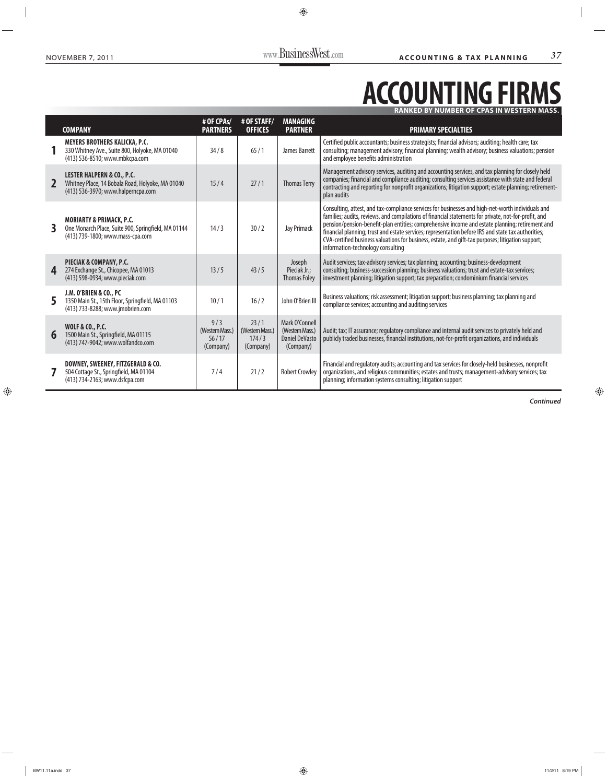## **ACCOUNTING FIRMS RANKED BY NUMBER OF CPAS IN WESTERN MASS.**

|                | <b>COMPANY</b>                                                                                                                  | # OF CPAs/<br><b>PARTNERS</b>                | # OF STAFF/<br><b>OFFICES</b>                 | <b>MANAGING</b><br><b>PARTNER</b>                                       | <b>PRIMARY SPECIALTIES</b>                                                                                                                                                                                                                                                                                                                                                                                                                                                                                                                                     |
|----------------|---------------------------------------------------------------------------------------------------------------------------------|----------------------------------------------|-----------------------------------------------|-------------------------------------------------------------------------|----------------------------------------------------------------------------------------------------------------------------------------------------------------------------------------------------------------------------------------------------------------------------------------------------------------------------------------------------------------------------------------------------------------------------------------------------------------------------------------------------------------------------------------------------------------|
|                | <b>MEYERS BROTHERS KALICKA, P.C.</b><br>330 Whitney Ave., Suite 800, Holyoke, MA 01040<br>(413) 536-8510; www.mbkcpa.com        | 34/8                                         | 65/1                                          | James Barrett                                                           | Certified public accountants; business strategists; financial advisors; auditing; health care; tax<br>consulting; management advisory; financial planning; wealth advisory; business valuations; pension<br>and employee benefits administration                                                                                                                                                                                                                                                                                                               |
| $\overline{2}$ | <b>LESTER HALPERN &amp; CO., P.C.</b><br>Whitney Place, 14 Bobala Road, Holyoke, MA 01040<br>(413) 536-3970; www.halperncpa.com | 15/4                                         | 27/1                                          | <b>Thomas Terry</b>                                                     | Management advisory services, auditing and accounting services, and tax planning for closely held<br>companies; financial and compliance auditing; consulting services assistance with state and federal<br>contracting and reporting for nonprofit organizations; litigation support; estate planning; retirement-<br>plan audits                                                                                                                                                                                                                             |
| 3              | <b>MORIARTY &amp; PRIMACK, P.C.</b><br>One Monarch Place, Suite 900, Springfield, MA 01144<br>(413) 739-1800; www.mass-cpa.com  | 14/3                                         | 30/2                                          | Jay Primack                                                             | Consulting, attest, and tax-compliance services for businesses and high-net-worth individuals and<br>families; audits, reviews, and compilations of financial statements for private, not-for-profit, and<br>pension/pension-benefit-plan entities; comprehensive income and estate planning; retirement and<br>financial planning; trust and estate services; representation before IRS and state tax authorities;<br>CVA-certified business valuations for business, estate, and gift-tax purposes; litigation support;<br>information-technology consulting |
| 4              | <b>PIECIAK &amp; COMPANY, P.C.</b><br>274 Exchange St., Chicopee, MA 01013<br>(413) 598-0934; www.pieciak.com                   | 13/5                                         | 43/5                                          | Joseph<br>Pieciak Jr.;<br><b>Thomas Foley</b>                           | Audit services; tax-advisory services; tax planning; accounting; business-development<br>consulting; business-succession planning; business valuations; trust and estate-tax services;<br>investment planning; litigation support; tax preparation; condominium financial services                                                                                                                                                                                                                                                                             |
| 5              | J.M. O'BRIEN & CO., PC<br>1350 Main St., 15th Floor, Springfield, MA 01103<br>(413) 733-8288; www.jmobrien.com                  | 10/1                                         | 16/2                                          | John O'Brien III                                                        | Business valuations; risk assessment; litigation support; business planning; tax planning and<br>compliance services; accounting and auditing services                                                                                                                                                                                                                                                                                                                                                                                                         |
| 6              | <b>WOLF &amp; CO., P.C.</b><br>1500 Main St., Springfield, MA 01115<br>(413) 747-9042; www.wolfandco.com                        | 9/3<br>(Western Mass.)<br>56/17<br>(Company) | 23/1<br>(Western Mass.)<br>174/3<br>(Company) | Mark O'Connell<br>(Western Mass.)<br><b>Daniel DeVasto</b><br>(Company) | Audit; tax; IT assurance; regulatory compliance and internal audit services to privately held and<br>publicly traded businesses, financial institutions, not-for-profit organizations, and individuals                                                                                                                                                                                                                                                                                                                                                         |
|                | DOWNEY, SWEENEY, FITZGERALD & CO.<br>504 Cottage St., Springfield, MA 01104<br>(413) 734-2163; www.dsfcpa.com                   | 7/4                                          | 21/2                                          | <b>Robert Crowley</b>                                                   | Financial and regulatory audits; accounting and tax services for closely-held businesses, nonprofit<br>organizations, and religious communities; estates and trusts; management-advisory services; tax<br>planning; information systems consulting; litigation support                                                                                                                                                                                                                                                                                         |

*Continued*